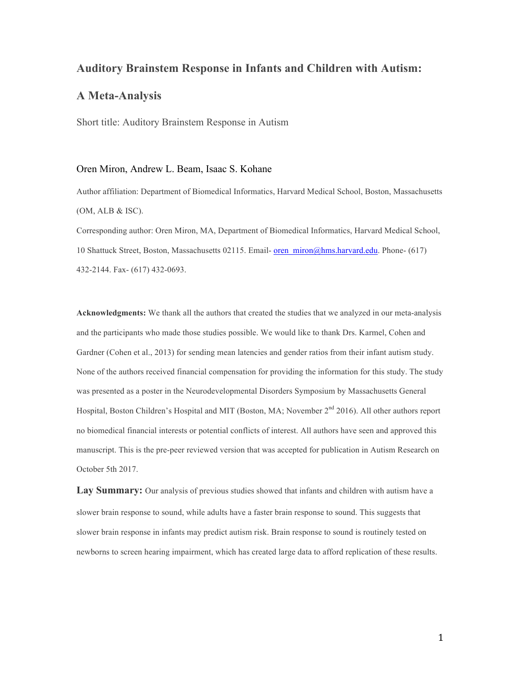## **Auditory Brainstem Response in Infants and Children with Autism:**

## **A Meta-Analysis**

Short title: Auditory Brainstem Response in Autism

#### Oren Miron, Andrew L. Beam, Isaac S. Kohane

Author affiliation: Department of Biomedical Informatics, Harvard Medical School, Boston, Massachusetts (OM, ALB & ISC).

Corresponding author: Oren Miron, MA, Department of Biomedical Informatics, Harvard Medical School, 10 Shattuck Street, Boston, Massachusetts 02115. Email- oren\_miron@hms.harvard.edu. Phone- (617) 432-2144. Fax- (617) 432-0693.

**Acknowledgments:** We thank all the authors that created the studies that we analyzed in our meta-analysis and the participants who made those studies possible. We would like to thank Drs. Karmel, Cohen and Gardner (Cohen et al., 2013) for sending mean latencies and gender ratios from their infant autism study. None of the authors received financial compensation for providing the information for this study. The study was presented as a poster in the Neurodevelopmental Disorders Symposium by Massachusetts General Hospital, Boston Children's Hospital and MIT (Boston, MA; November 2<sup>nd</sup> 2016). All other authors report no biomedical financial interests or potential conflicts of interest. All authors have seen and approved this manuscript. This is the pre-peer reviewed version that was accepted for publication in Autism Research on October 5th 2017.

**Lay Summary:** Our analysis of previous studies showed that infants and children with autism have a slower brain response to sound, while adults have a faster brain response to sound. This suggests that slower brain response in infants may predict autism risk. Brain response to sound is routinely tested on newborns to screen hearing impairment, which has created large data to afford replication of these results.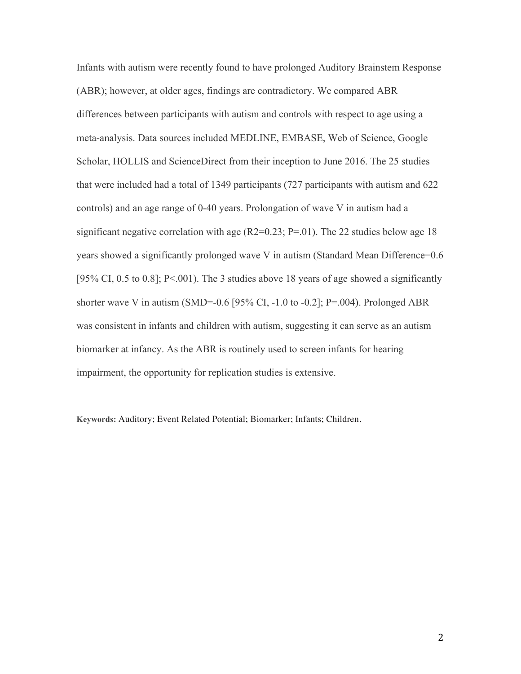Infants with autism were recently found to have prolonged Auditory Brainstem Response (ABR); however, at older ages, findings are contradictory. We compared ABR differences between participants with autism and controls with respect to age using a meta-analysis. Data sources included MEDLINE, EMBASE, Web of Science, Google Scholar, HOLLIS and ScienceDirect from their inception to June 2016. The 25 studies that were included had a total of 1349 participants (727 participants with autism and 622 controls) and an age range of 0-40 years. Prolongation of wave V in autism had a significant negative correlation with age  $(R2=0.23; P=.01)$ . The 22 studies below age 18 years showed a significantly prolonged wave V in autism (Standard Mean Difference=0.6 [95% CI, 0.5 to 0.8]; P<.001). The 3 studies above 18 years of age showed a significantly shorter wave V in autism (SMD=-0.6 [95% CI, -1.0 to -0.2]; P=.004). Prolonged ABR was consistent in infants and children with autism, suggesting it can serve as an autism biomarker at infancy. As the ABR is routinely used to screen infants for hearing impairment, the opportunity for replication studies is extensive.

**Keywords:** Auditory; Event Related Potential; Biomarker; Infants; Children.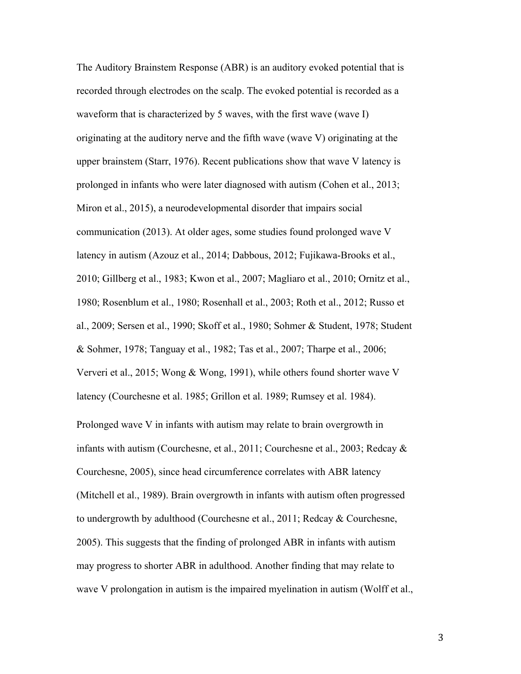The Auditory Brainstem Response (ABR) is an auditory evoked potential that is recorded through electrodes on the scalp. The evoked potential is recorded as a waveform that is characterized by 5 waves, with the first wave (wave I) originating at the auditory nerve and the fifth wave (wave V) originating at the upper brainstem (Starr, 1976). Recent publications show that wave V latency is prolonged in infants who were later diagnosed with autism (Cohen et al., 2013; Miron et al., 2015), a neurodevelopmental disorder that impairs social communication (2013). At older ages, some studies found prolonged wave V latency in autism (Azouz et al., 2014; Dabbous, 2012; Fujikawa-Brooks et al., 2010; Gillberg et al., 1983; Kwon et al., 2007; Magliaro et al., 2010; Ornitz et al., 1980; Rosenblum et al., 1980; Rosenhall et al., 2003; Roth et al., 2012; Russo et al., 2009; Sersen et al., 1990; Skoff et al., 1980; Sohmer & Student, 1978; Student & Sohmer, 1978; Tanguay et al., 1982; Tas et al., 2007; Tharpe et al., 2006; Ververi et al., 2015; Wong & Wong, 1991), while others found shorter wave V latency (Courchesne et al. 1985; Grillon et al. 1989; Rumsey et al. 1984). Prolonged wave V in infants with autism may relate to brain overgrowth in infants with autism (Courchesne, et al., 2011; Courchesne et al., 2003; Redcay & Courchesne, 2005), since head circumference correlates with ABR latency (Mitchell et al., 1989). Brain overgrowth in infants with autism often progressed to undergrowth by adulthood (Courchesne et al., 2011; Redcay & Courchesne, 2005). This suggests that the finding of prolonged ABR in infants with autism may progress to shorter ABR in adulthood. Another finding that may relate to wave V prolongation in autism is the impaired myelination in autism (Wolff et al.,

3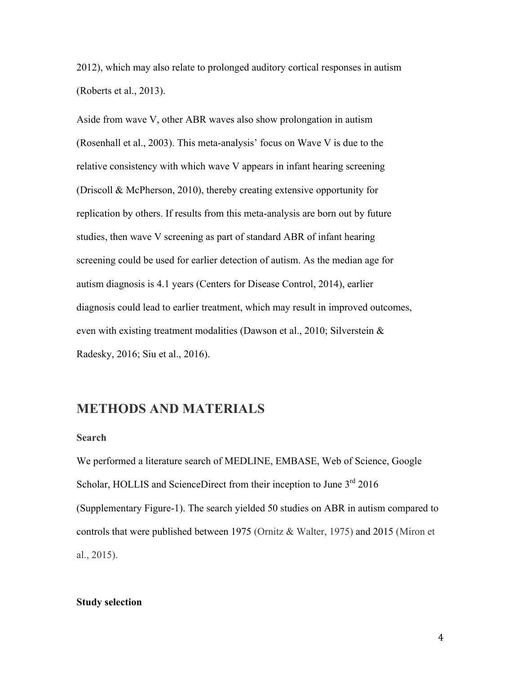2012), which may also relate to prolonged auditory cortical responses in autism (Roberts et al., 2013).

Aside from wave V, other ABR waves also show prolongation in autism (Rosenhall et al., 2003). This meta-analysis' focus on Wave V is due to the relative consistency with which wave V appears in infant hearing screening (Driscoll & McPherson, 2010), thereby creating extensive opportunity for replication by others. If results from this meta-analysis are born out by future studies, then wave V screening as part of standard ABR of infant hearing screening could be used for earlier detection of autism. As the median age for autism diagnosis is 4.1 years (Centers for Disease Control, 2014), earlier diagnosis could lead to earlier treatment, which may result in improved outcomes, even with existing treatment modalities (Dawson et al., 2010; Silverstein & Radesky, 2016; Siu et al., 2016).

# **METHODS AND MATERIALS**

## **Search**

We performed a literature search of MEDLINE, EMBASE, Web of Science, Google Scholar, HOLLIS and ScienceDirect from their inception to June 3<sup>rd</sup> 2016 (Supplementary Figure-1). The search yielded 50 studies on ABR in autism compared to controls that were published between 1975 (Ornitz & Walter, 1975) and 2015 (Miron et al., 2015).

#### **Study selection**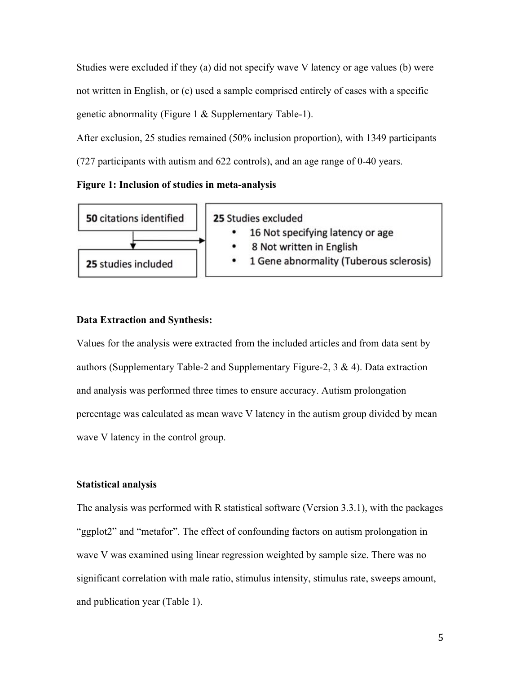Studies were excluded if they (a) did not specify wave V latency or age values (b) were not written in English, or (c) used a sample comprised entirely of cases with a specific genetic abnormality (Figure 1 & Supplementary Table-1).

After exclusion, 25 studies remained (50% inclusion proportion), with 1349 participants (727 participants with autism and 622 controls), and an age range of 0-40 years.

#### **Figure 1: Inclusion of studies in meta-analysis**



#### **Data Extraction and Synthesis:**

Values for the analysis were extracted from the included articles and from data sent by authors (Supplementary Table-2 and Supplementary Figure-2, 3 & 4). Data extraction and analysis was performed three times to ensure accuracy. Autism prolongation percentage was calculated as mean wave V latency in the autism group divided by mean wave V latency in the control group.

#### **Statistical analysis**

The analysis was performed with R statistical software (Version 3.3.1), with the packages "ggplot2" and "metafor". The effect of confounding factors on autism prolongation in wave V was examined using linear regression weighted by sample size. There was no significant correlation with male ratio, stimulus intensity, stimulus rate, sweeps amount, and publication year (Table 1).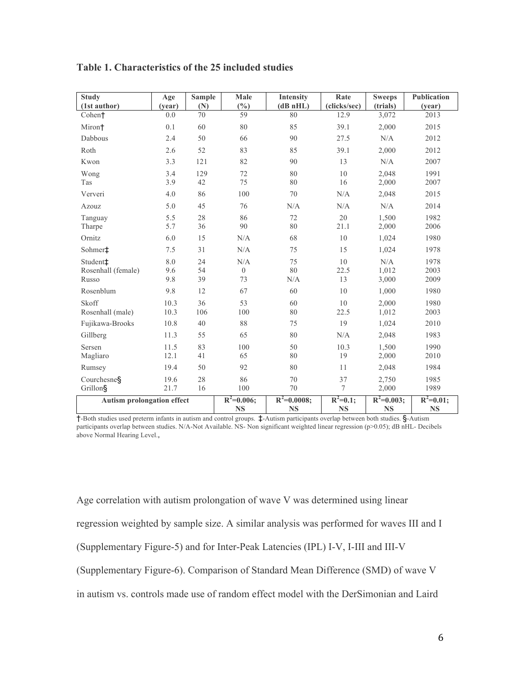| <b>Study</b>                      | Age    | <b>Sample</b> | Male         | <b>Intensity</b> | Rate         | <b>Sweeps</b> | <b>Publication</b> |
|-----------------------------------|--------|---------------|--------------|------------------|--------------|---------------|--------------------|
| (1st author)                      | (vear) | (N)           | (%)          | (dBnHL)          | (clicks/sec) | (trials)      | (year)             |
| Cohen <sup>+</sup>                | 0.0    | 70            | 59           | 80               | 12.9         | 3,072         | 2013               |
| Miron <sup>+</sup>                | 0.1    | 60            | 80           | 85               | 39.1         | 2,000         | 2015               |
| Dabbous                           | 2.4    | 50            | 66           | 90               | 27.5         | N/A           | 2012               |
| Roth                              | 2.6    | 52            | 83           | 85               | 39.1         | 2,000         | 2012               |
| Kwon                              | 3.3    | 121           | 82           | 90               | 13           | N/A           | 2007               |
| Wong                              | 3.4    | 129           | 72           | 80               | 10           | 2,048         | 1991               |
| Tas                               | 3.9    | 42            | 75           | 80               | 16           | 2,000         | 2007               |
| Ververi                           | 4.0    | 86            | 100          | 70               | N/A          | 2,048         | 2015               |
| Azouz                             | 5.0    | 45            | 76           | N/A              | N/A          | N/A           | 2014               |
| Tanguay                           | 5.5    | 28            | 86           | 72               | 20           | 1,500         | 1982               |
| Tharpe                            | 5.7    | 36            | 90           | 80               | 21.1         | 2,000         | 2006               |
| Ornitz                            | 6.0    | 15            | N/A          | 68               | 10           | 1,024         | 1980               |
| Sohmer <sup>+</sup>               | 7.5    | 31            | N/A          | 75               | 15           | 1,024         | 1978               |
| Student <sup>+</sup>              | 8.0    | 24            | N/A          | 75               | 10           | N/A           | 1978               |
| Rosenhall (female)                | 9.6    | 54            | $\mathbf{0}$ | 80               | 22.5         | 1,012         | 2003               |
| Russo                             | 9.8    | 39            | 73           | N/A              | 13           | 3,000         | 2009               |
| Rosenblum                         | 9.8    | 12            | 67           | 60               | 10           | 1,000         | 1980               |
| Skoff                             | 10.3   | 36            | 53           | 60               | 10           | 2,000         | 1980               |
| Rosenhall (male)                  | 10.3   | 106           | 100          | 80               | 22.5         | 1,012         | 2003               |
| Fujikawa-Brooks                   | 10.8   | 40            | 88           | 75               | 19           | 1,024         | 2010               |
| Gillberg                          | 11.3   | 55            | 65           | 80               | N/A          | 2,048         | 1983               |
| Sersen                            | 11.5   | 83            | 100          | 50               | 10.3         | 1,500         | 1990               |
| Magliaro                          | 12.1   | 41            | 65           | 80               | 19           | 2,000         | 2010               |
| Rumsey                            | 19.4   | 50            | 92           | 80               | 11           | 2,048         | 1984               |
| Courchesne§                       | 19.6   | 28            | 86           | 70               | 37           | 2,750         | 1985               |
| Grillon§                          | 21.7   | 16            | 100          | 70               | 7            | 2,000         | 1989               |
| <b>Autism prolongation effect</b> |        |               | $R^2=0.006;$ | $R^2 = 0.0008;$  | $R^2=0.1;$   | $R^2=0.003;$  | $R^2=0.01;$        |
|                                   |        |               | <b>NS</b>    | <b>NS</b>        | <b>NS</b>    | <b>NS</b>     | <b>NS</b>          |

### **Table 1. Characteristics of the 25 included studies**

†-Both studies used preterm infants in autism and control groups. ‡-Autism participants overlap between both studies. §-Autism participants overlap between studies. N/A-Not Available. NS- Non significant weighted linear regression (p>0.05); dB nHL- Decibels above Normal Hearing Level.,

Age correlation with autism prolongation of wave V was determined using linear regression weighted by sample size. A similar analysis was performed for waves III and I (Supplementary Figure-5) and for Inter-Peak Latencies (IPL) I-V, I-III and III-V (Supplementary Figure-6). Comparison of Standard Mean Difference (SMD) of wave V in autism vs. controls made use of random effect model with the DerSimonian and Laird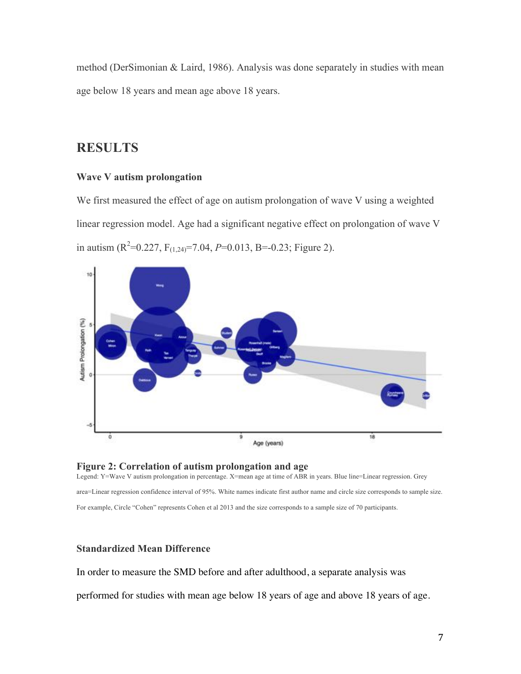method (DerSimonian & Laird, 1986). Analysis was done separately in studies with mean age below 18 years and mean age above 18 years.

# **RESULTS**

## **Wave V autism prolongation**

We first measured the effect of age on autism prolongation of wave V using a weighted linear regression model. Age had a significant negative effect on prolongation of wave V in autism ( $R^2$ =0.227,  $F_{(1,24)}$ =7.04, *P*=0.013, B=-0.23; Figure 2).



#### **Figure 2: Correlation of autism prolongation and age**

Legend: Y=Wave V autism prolongation in percentage. X=mean age at time of ABR in years. Blue line=Linear regression. Grey area=Linear regression confidence interval of 95%. White names indicate first author name and circle size corresponds to sample size. For example, Circle "Cohen" represents Cohen et al 2013 and the size corresponds to a sample size of 70 participants.

## **Standardized Mean Difference**

In order to measure the SMD before and after adulthood, a separate analysis was

performed for studies with mean age below 18 years of age and above 18 years of age.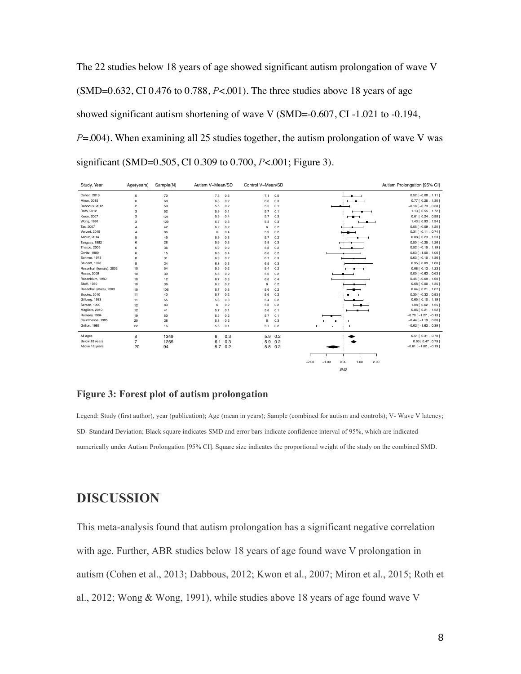The 22 studies below 18 years of age showed significant autism prolongation of wave V (SMD=0.632, CI 0.476 to 0.788, *P*<.001). The three studies above 18 years of age showed significant autism shortening of wave V (SMD=-0.607, CI -1.021 to -0.194, *P*=.004). When examining all 25 studies together, the autism prolongation of wave V was significant (SMD=0.505, CI 0.309 to 0.700, *P*<.001; Figure 3).

| Study, Year              | Age(years)     | Sample(N) | Autism V-Mean/SD |     | Control V-Mean/SD |           |                                            | Autism Prolongation [95% CI]  |
|--------------------------|----------------|-----------|------------------|-----|-------------------|-----------|--------------------------------------------|-------------------------------|
| Cohen, 2013              | $\circ$        | 70        | 7.3              | 0.5 | 7.1               | 0.5       |                                            | $0.52$ [-0.08, 1.11]          |
| Miron, 2015              | $\circ$        | 60        | 6.8              | 0.2 | 6.6               | 0.3       |                                            | $0.77$ $[0.25, 1.30]$         |
| Dabbous, 2012            | $\overline{2}$ | 50        | 5.5              | 0.2 | 5.5               | 0.1       |                                            | $-0.18$ [ $-0.73$ , 0.38]     |
| Roth, 2012               | 3              | 52        | 5.9              | 0.1 | 5.7               | 0.1       |                                            | 1.13 [ 0.55, 1.72 ]           |
| Kwon, 2007               | 3              | 121       | 5.9              | 0.4 | 5.7               | 0.3       | ——                                         | $0.61$ $[ 0.24, 0.98 ]$       |
| Wong, 1991               | 3              | 129       | 5.7              | 0.3 | 5.3               | 0.3       |                                            | $1.43$ $[0.93, 1.94]$         |
| Tas, 2007                | $\overline{a}$ | 42        | 6.2              | 0.2 | 6                 | 0.2       |                                            | $0.55$ $[-0.09, 1.20]$        |
| Ververi, 2015            | $\overline{a}$ | 86        | 6                | 0.4 | 5.9               | 0.2       | $\overline{\phantom{a}}$                   | $0.31$ $[-0.11, 0.74]$        |
| Azouz, 2014              | 5              | 45        | 5.9              | 0.3 | 5.7               | 0.2       |                                            | $0.88$ $[ 0.23, 1.53 ]$       |
| Tanguay, 1982            | 6              | 28        | 5.9              | 0.3 | 5.8               | 0.3       |                                            | $0.50$ [-0.25, 1.26]          |
| Tharpe, 2006             | 6              | 36        | 5.9              | 0.2 | 5.8               | 0.2       |                                            | $0.52$ $[-0.15, 1.19]$        |
| Ornitz, 1980             | 6              | 15        | 6.6              | 0.4 | 6.6               | 0.2       |                                            | $0.03$ [ $-1.00$ , $1.06$ ]   |
| Sohmer, 1978             | 8              | 31        | 6.9              | 0.2 | 6.7               | 0.3       |                                            | $0.63$ [-0.10, 1.36]          |
| Student, 1978            | <sub>8</sub>   | 24        | 6.8              | 0.3 | 6.5               | 0.3       |                                            | $0.95$ $[ 0.09, 1.80 ]$       |
| Rosenhall (female), 2003 | 10             | 54        | 5.5              | 0.2 | 5.4               | 0.2       |                                            | $0.68$ $[ 0.13, 1.23 ]$       |
| Russo, 2009              | 10             | 39        | 5.6              | 0.2 | 5.6               | 0.2       |                                            | $0.00$ [-0.63, 0.63]          |
| Rosenblum, 1980          | 10             | 12        | 6.7              | 0.3 | 6.6               | 0.4       |                                            | $0.45[-0.69, 1.60]$           |
| Skoff, 1980              | 10             | 36        | 6.2              | 0.2 | 6                 | 0.2       | ٠.                                         | $0.68$ $[ 0.00, 1.35 ]$       |
| Rosenhall (male), 2003   | 10             | 106       | 5.7              | 0.3 | 5.6               | 0.2       | $-$                                        | $0.64$ [ $0.21$ , $1.07$ ]    |
| <b>Brooks, 2010</b>      | 11             | 40        | 5.7              | 0.2 | 5.6               | 0.2       |                                            | $0.30$ [-0.32, 0.93]          |
| Gillberg, 1983           | 11             | 55        | 5.6              | 0.3 | 5.4               | 0.2       |                                            | $0.65$ $[0.10, 1.19]$         |
| Sersen, 1990             | 12             | 83        | 6                | 0.2 | 5.8               | 0.2       | $-$                                        | $1.08$ $[0.62, 1.55]$         |
| Magilaro, 2010           | 12             | 41        | 5.7              | 0.1 | 5.6               | 0.1       |                                            | $0.86$ [ $0.21$ , $1.52$ ]    |
| Rumsey, 1984             | 19             | 50        | 5.5              | 0.2 | 5.7               | 0.1       |                                            | $-0.70$ [ $-1.27$ , $-0.13$ ] |
| Courchesne, 1985         | 20             | 28        | 5.8              | 0.2 | 6                 | 0.3       |                                            | $-0.44$ [ $-1.19$ , 0.30]     |
| Grillon, 1989            | 22             | 16        | 5.6              | 0.1 | 5.7               | 0.2       |                                            | $-0.62$ [ $-1.62$ , 0.39]     |
| All ages                 | 8              | 1349      | 6                | 0.3 |                   | $5.9$ 0.2 |                                            | $0.51$ [ $0.31$ , $0.70$ ]    |
| Below 18 years           | 7              | 1255      | 6.1              | 0.3 | 5.9               | 0.2       |                                            | $0.63$ [ $0.47$ , $0.79$ ]    |
| Above 18 years           | 20             | 94        | 5.7              | 0.2 |                   | 5.8 0.2   |                                            | $-0.61$ [ $-1.02$ , $-0.19$ ] |
|                          |                |           |                  |     |                   |           |                                            |                               |
|                          |                |           |                  |     |                   |           | $-2.00$<br>$-1.00$<br>0.00<br>1.00<br>2.00 |                               |
|                          |                |           |                  |     |                   |           | <b>SMD</b>                                 |                               |

#### **Figure 3: Forest plot of autism prolongation**

Legend: Study (first author), year (publication); Age (mean in years); Sample (combined for autism and controls); V- Wave V latency; SD- Standard Deviation; Black square indicates SMD and error bars indicate confidence interval of 95%, which are indicated numerically under Autism Prolongation [95% CI]. Square size indicates the proportional weight of the study on the combined SMD.

# **DISCUSSION**

This meta-analysis found that autism prolongation has a significant negative correlation with age. Further, ABR studies below 18 years of age found wave V prolongation in autism (Cohen et al., 2013; Dabbous, 2012; Kwon et al., 2007; Miron et al., 2015; Roth et al., 2012; Wong & Wong, 1991), while studies above 18 years of age found wave V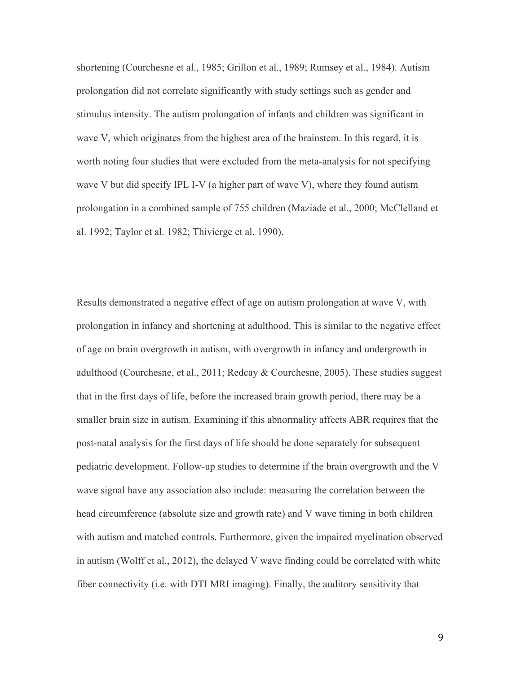shortening (Courchesne et al., 1985; Grillon et al., 1989; Rumsey et al., 1984). Autism prolongation did not correlate significantly with study settings such as gender and stimulus intensity. The autism prolongation of infants and children was significant in wave V, which originates from the highest area of the brainstem. In this regard, it is worth noting four studies that were excluded from the meta-analysis for not specifying wave V but did specify IPL I-V (a higher part of wave V), where they found autism prolongation in a combined sample of 755 children (Maziade et al., 2000; McClelland et al. 1992; Taylor et al. 1982; Thivierge et al. 1990).

Results demonstrated a negative effect of age on autism prolongation at wave V, with prolongation in infancy and shortening at adulthood. This is similar to the negative effect of age on brain overgrowth in autism, with overgrowth in infancy and undergrowth in adulthood (Courchesne, et al., 2011; Redcay & Courchesne, 2005). These studies suggest that in the first days of life, before the increased brain growth period, there may be a smaller brain size in autism. Examining if this abnormality affects ABR requires that the post-natal analysis for the first days of life should be done separately for subsequent pediatric development. Follow-up studies to determine if the brain overgrowth and the V wave signal have any association also include: measuring the correlation between the head circumference (absolute size and growth rate) and V wave timing in both children with autism and matched controls. Furthermore, given the impaired myelination observed in autism (Wolff et al., 2012), the delayed V wave finding could be correlated with white fiber connectivity (i.e. with DTI MRI imaging). Finally, the auditory sensitivity that

9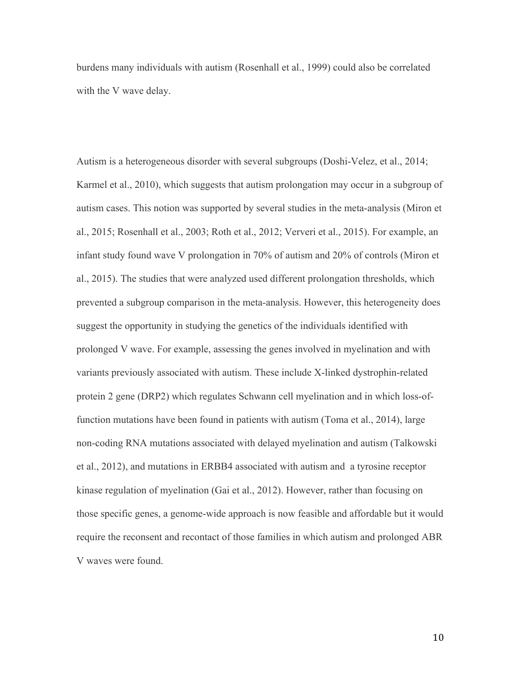burdens many individuals with autism (Rosenhall et al., 1999) could also be correlated with the V wave delay.

Autism is a heterogeneous disorder with several subgroups (Doshi-Velez, et al., 2014; Karmel et al., 2010), which suggests that autism prolongation may occur in a subgroup of autism cases. This notion was supported by several studies in the meta-analysis (Miron et al., 2015; Rosenhall et al., 2003; Roth et al., 2012; Ververi et al., 2015). For example, an infant study found wave V prolongation in 70% of autism and 20% of controls (Miron et al., 2015). The studies that were analyzed used different prolongation thresholds, which prevented a subgroup comparison in the meta-analysis. However, this heterogeneity does suggest the opportunity in studying the genetics of the individuals identified with prolonged V wave. For example, assessing the genes involved in myelination and with variants previously associated with autism. These include X-linked dystrophin-related protein 2 gene (DRP2) which regulates Schwann cell myelination and in which loss-offunction mutations have been found in patients with autism (Toma et al., 2014), large non-coding RNA mutations associated with delayed myelination and autism (Talkowski et al., 2012), and mutations in ERBB4 associated with autism and a tyrosine receptor kinase regulation of myelination (Gai et al., 2012). However, rather than focusing on those specific genes, a genome-wide approach is now feasible and affordable but it would require the reconsent and recontact of those families in which autism and prolonged ABR V waves were found.

10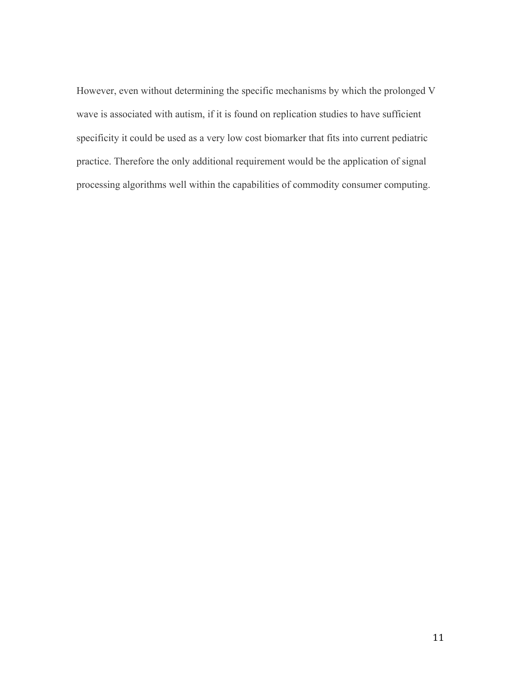However, even without determining the specific mechanisms by which the prolonged V wave is associated with autism, if it is found on replication studies to have sufficient specificity it could be used as a very low cost biomarker that fits into current pediatric practice. Therefore the only additional requirement would be the application of signal processing algorithms well within the capabilities of commodity consumer computing.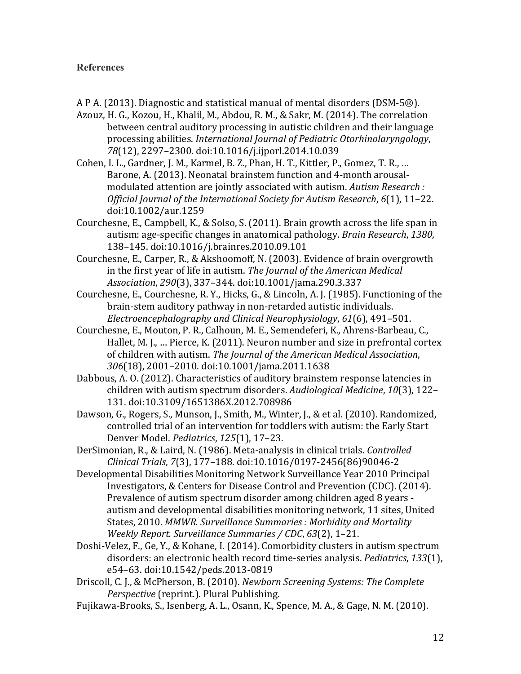## **References**

- A P A. (2013). Diagnostic and statistical manual of mental disorders (DSM-5 $\circledR$ ).
- Azouz, H. G., Kozou, H., Khalil, M., Abdou, R. M., & Sakr, M. (2014). The correlation between central auditory processing in autistic children and their language processing abilities. *International Journal of Pediatric Otorhinolaryngology*, 78(12), 2297-2300. doi:10.1016/j.ijporl.2014.10.039
- Cohen, I. L., Gardner, J. M., Karmel, B. Z., Phan, H. T., Kittler, P., Gomez, T. R., ... Barone, A. (2013). Neonatal brainstem function and 4-month arousalmodulated attention are jointly associated with autism. Autism Research : *Official Journal of the International Society for Autism Research,* 6(1), 11–22. doi:10.1002/aur.1259
- Courchesne, E., Campbell, K., & Solso, S. (2011). Brain growth across the life span in autism: age-specific changes in anatomical pathology. *Brain Research*, 1380, 138–145. doi:10.1016/j.brainres.2010.09.101
- Courchesne, E., Carper, R., & Akshoomoff, N. (2003). Evidence of brain overgrowth in the first year of life in autism. The Journal of the American Medical *Association*, *290*(3), 337–344. doi:10.1001/jama.290.3.337
- Courchesne, E., Courchesne, R. Y., Hicks, G., & Lincoln, A. J. (1985). Functioning of the brain-stem auditory pathway in non-retarded autistic individuals. *Electroencephalography and Clinical Neurophysiology*, *61*(6), 491–501.
- Courchesne, E., Mouton, P. R., Calhoun, M. E., Semendeferi, K., Ahrens-Barbeau, C., Hallet, M. J., ... Pierce, K. (2011). Neuron number and size in prefrontal cortex of children with autism. The Journal of the American Medical Association, 306(18), 2001–2010. doi:10.1001/jama.2011.1638
- Dabbous, A. O. (2012). Characteristics of auditory brainstem response latencies in children with autism spectrum disorders. Audiological Medicine, 10(3), 122-131. doi:10.3109/1651386X.2012.708986
- Dawson, G., Rogers, S., Munson, J., Smith, M., Winter, J., & et al. (2010). Randomized, controlled trial of an intervention for toddlers with autism: the Early Start Denver Model. *Pediatrics*, *125*(1), 17–23.
- DerSimonian, R., & Laird, N. (1986). Meta-analysis in clinical trials. *Controlled Clinical Trials*, *7*(3), 177–188. doi:10.1016/0197-2456(86)90046-2
- Developmental Disabilities Monitoring Network Surveillance Year 2010 Principal Investigators, & Centers for Disease Control and Prevention (CDC). (2014). Prevalence of autism spectrum disorder among children aged 8 years autism and developmental disabilities monitoring network, 11 sites, United States, 2010. MMWR. Surveillance Summaries : Morbidity and Mortality *Weekly Report. Surveillance Summaries / CDC*, *63*(2), 1–21.
- Doshi-Velez, F., Ge, Y., & Kohane, I. (2014). Comorbidity clusters in autism spectrum disorders: an electronic health record time-series analysis. *Pediatrics*, *133*(1), e54–63. doi:10.1542/peds.2013-0819
- Driscoll, C. J., & McPherson, B. (2010). *Newborn Screening Systems: The Complete Perspective* (reprint.). Plural Publishing.
- Fujikawa-Brooks, S., Isenberg, A. L., Osann, K., Spence, M. A., & Gage, N. M. (2010).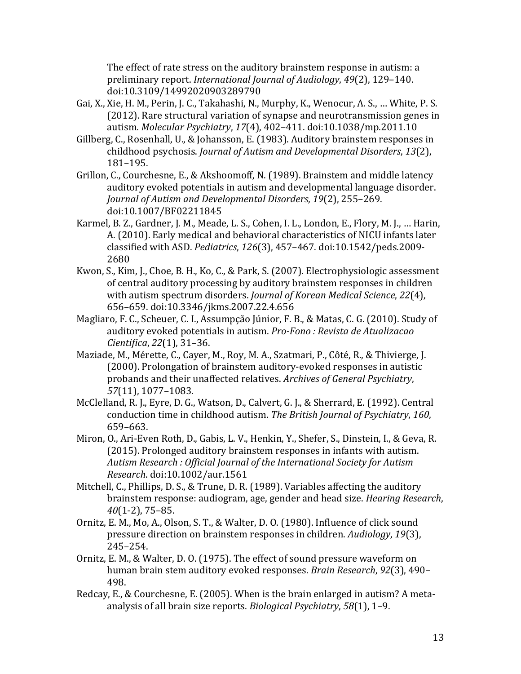The effect of rate stress on the auditory brainstem response in autism: a preliminary report. *International Journal of Audiology*, 49(2), 129-140. doi:10.3109/14992020903289790

- Gai, X., Xie, H. M., Perin, J. C., Takahashi, N., Murphy, K., Wenocur, A. S., ... White, P. S. (2012). Rare structural variation of synapse and neurotransmission genes in autism. *Molecular Psychiatry*, *17*(4), 402–411. doi:10.1038/mp.2011.10
- Gillberg, C., Rosenhall, U., & Johansson, E. (1983). Auditory brainstem responses in childhood psychosis. *Journal of Autism and Developmental Disorders*, *13*(2), 181–195.
- Grillon, C., Courchesne, E., & Akshoomoff, N. (1989). Brainstem and middle latency auditory evoked potentials in autism and developmental language disorder. *Journal of Autism and Developmental Disorders, 19(2), 255-269.* doi:10.1007/BF02211845
- Karmel, B. Z., Gardner, J. M., Meade, L. S., Cohen, I. L., London, E., Flory, M. J., ... Harin, A. (2010). Early medical and behavioral characteristics of NICU infants later classified with ASD. *Pediatrics*, *126*(3), 457–467. doi:10.1542/peds.2009- 2680
- Kwon, S., Kim, J., Choe, B. H., Ko, C., & Park, S. (2007). Electrophysiologic assessment of central auditory processing by auditory brainstem responses in children with autism spectrum disorders. *Journal of Korean Medical Science*, 22(4), 656–659. doi:10.3346/jkms.2007.22.4.656
- Magliaro, F. C., Scheuer, C. I., Assumpção Júnior, F. B., & Matas, C. G. (2010). Study of auditory evoked potentials in autism. *Pro-Fono*: *Revista de Atualizacao Cientifica*, *22*(1), 31–36.
- Maziade, M., Mérette, C., Cayer, M., Roy, M. A., Szatmari, P., Côté, R., & Thivierge, J. (2000). Prolongation of brainstem auditory-evoked responses in autistic probands and their unaffected relatives. Archives of General Psychiatry, *57*(11), 1077–1083.
- McClelland, R. J., Eyre, D. G., Watson, D., Calvert, G. J., & Sherrard, E. (1992). Central conduction time in childhood autism. The British Journal of Psychiatry, 160, 659–663.
- Miron, O., Ari-Even Roth, D., Gabis, L. V., Henkin, Y., Shefer, S., Dinstein, I., & Geva, R. (2015). Prolonged auditory brainstem responses in infants with autism. Autism Research : Official Journal of the International Society for Autism *Research*. doi:10.1002/aur.1561
- Mitchell, C., Phillips, D. S., & Trune, D. R. (1989). Variables affecting the auditory brainstem response: audiogram, age, gender and head size. *Hearing Research*, *40*(1-2), 75–85.
- Ornitz, E. M., Mo, A., Olson, S. T., & Walter, D. O. (1980). Influence of click sound pressure direction on brainstem responses in children. *Audiology*, 19(3), 245–254.
- Ornitz, E. M., & Walter, D. O. (1975). The effect of sound pressure waveform on human brain stem auditory evoked responses. *Brain Research*, 92(3), 490– 498.
- Redcay, E., & Courchesne, E. (2005). When is the brain enlarged in autism? A metaanalysis of all brain size reports. *Biological Psychiatry*, 58(1), 1–9.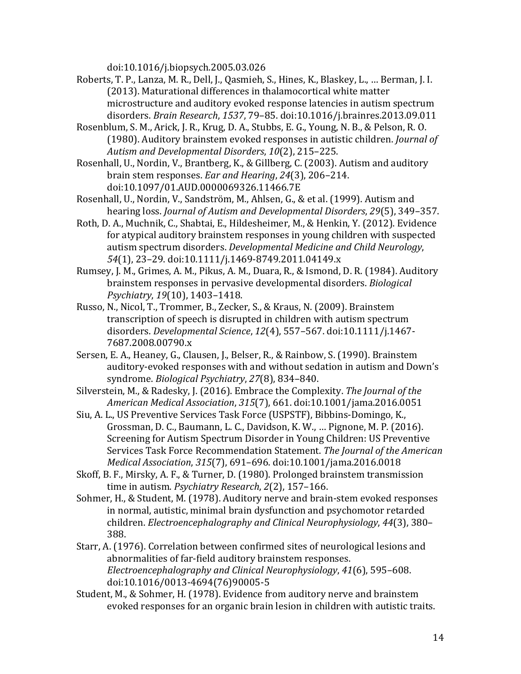doi:10.1016/j.biopsych.2005.03.026

- Roberts, T. P., Lanza, M. R., Dell, J., Qasmieh, S., Hines, K., Blaskey, L., ... Berman, J. I. (2013). Maturational differences in thalamocortical white matter microstructure and auditory evoked response latencies in autism spectrum disorders. *Brain Research*, *1537*, 79–85. doi:10.1016/j.brainres.2013.09.011
- Rosenblum, S. M., Arick, J. R., Krug, D. A., Stubbs, E. G., Young, N. B., & Pelson, R. O. (1980). Auditory brainstem evoked responses in autistic children. *Journal of* Autism and Developmental Disorders, 10(2), 215–225.
- Rosenhall, U., Nordin, V., Brantberg, K., & Gillberg, C. (2003). Autism and auditory brain stem responses. *Ear and Hearing*, 24(3), 206-214. doi:10.1097/01.AUD.0000069326.11466.7E
- Rosenhall, U., Nordin, V., Sandström, M., Ahlsen, G., & et al. (1999). Autism and hearing loss. *Journal of Autism and Developmental Disorders, 29*(5), 349–357.
- Roth, D. A., Muchnik, C., Shabtai, E., Hildesheimer, M., & Henkin, Y. (2012). Evidence for atypical auditory brainstem responses in young children with suspected autism spectrum disorders. *Developmental Medicine and Child Neurology*, 54(1), 23-29. doi:10.1111/j.1469-8749.2011.04149.x
- Rumsey, J. M., Grimes, A. M., Pikus, A. M., Duara, R., & Ismond, D. R. (1984). Auditory brainstem responses in pervasive developmental disorders. *Biological Psychiatry*, *19*(10), 1403–1418.
- Russo, N., Nicol, T., Trommer, B., Zecker, S., & Kraus, N. (2009). Brainstem transcription of speech is disrupted in children with autism spectrum disorders. *Developmental Science*, *12*(4), 557–567. doi:10.1111/j.1467- 7687.2008.00790.x
- Sersen, E. A., Heaney, G., Clausen, J., Belser, R., & Rainbow, S. (1990). Brainstem auditory-evoked responses with and without sedation in autism and Down's syndrome. *Biological Psychiatry*, 27(8), 834-840.
- Silverstein, M., & Radesky, J. (2016). Embrace the Complexity. *The Journal of the American Medical Association*, *315*(7), 661. doi:10.1001/jama.2016.0051
- Siu, A. L., US Preventive Services Task Force (USPSTF), Bibbins-Domingo, K., Grossman, D. C., Baumann, L. C., Davidson, K. W., .., Pignone, M. P. (2016). Screening for Autism Spectrum Disorder in Young Children: US Preventive Services Task Force Recommendation Statement. The *Journal of the American Medical Association*, *315*(7), 691–696. doi:10.1001/jama.2016.0018
- Skoff, B. F., Mirsky, A. F., & Turner, D. (1980). Prolonged brainstem transmission time in autism. *Psychiatry Research*, 2(2), 157-166.
- Sohmer, H., & Student, M. (1978). Auditory nerve and brain-stem evoked responses in normal, autistic, minimal brain dysfunction and psychomotor retarded children. *Electroencephalography and Clinical Neurophysiology*, 44(3), 380-388.
- Starr, A. (1976). Correlation between confirmed sites of neurological lesions and abnormalities of far-field auditory brainstem responses. *Electroencephalography and Clinical Neurophysiology*, *41*(6), 595–608. doi:10.1016/0013-4694(76)90005-5
- Student, M., & Sohmer, H. (1978). Evidence from auditory nerve and brainstem evoked responses for an organic brain lesion in children with autistic traits.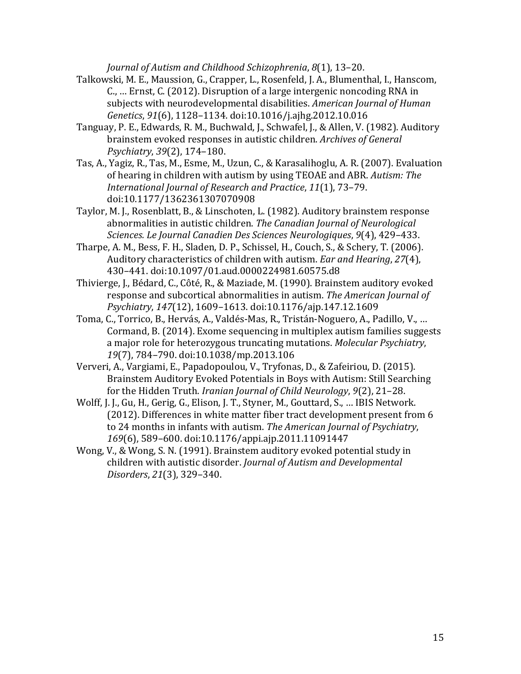*Journal of Autism and Childhood Schizophrenia,*  $8(1)$ , 13–20.

- Talkowski, M. E., Maussion, G., Crapper, L., Rosenfeld, J. A., Blumenthal, I., Hanscom, C., ... Ernst, C. (2012). Disruption of a large intergenic noncoding RNA in subjects with neurodevelopmental disabilities. *American Journal of Human Genetics*, *91*(6), 1128–1134. doi:10.1016/j.ajhg.2012.10.016
- Tanguay, P. E., Edwards, R. M., Buchwald, J., Schwafel, J., & Allen, V. (1982). Auditory brainstem evoked responses in autistic children. Archives of General *Psychiatry*, *39*(2), 174–180.
- Tas, A., Yagiz, R., Tas, M., Esme, M., Uzun, C., & Karasalihoglu, A. R. (2007). Evaluation of hearing in children with autism by using TEOAE and ABR. *Autism: The International Journal of Research and Practice*, *11*(1), 73–79. doi:10.1177/1362361307070908
- Taylor, M. J., Rosenblatt, B., & Linschoten, L. (1982). Auditory brainstem response abnormalities in autistic children. The Canadian Journal of Neurological *Sciences. Le Journal Canadien Des Sciences Neurologiques*, *9*(4), 429–433.
- Tharpe, A. M., Bess, F. H., Sladen, D. P., Schissel, H., Couch, S., & Schery, T. (2006). Auditory characteristics of children with autism. *Ear and Hearing*, 27(4), 430–441. doi:10.1097/01.aud.0000224981.60575.d8
- Thivierge, J., Bédard, C., Côté, R., & Maziade, M. (1990). Brainstem auditory evoked response and subcortical abnormalities in autism. The American Journal of *Psychiatry*, *147*(12), 1609–1613. doi:10.1176/ajp.147.12.1609
- Toma, C., Torrico, B., Hervás, A., Valdés-Mas, R., Tristán-Noguero, A., Padillo, V., ... Cormand, B. (2014). Exome sequencing in multiplex autism families suggests a major role for heterozygous truncating mutations. *Molecular Psychiatry*, 19(7), 784-790. doi:10.1038/mp.2013.106
- Ververi, A., Vargiami, E., Papadopoulou, V., Tryfonas, D., & Zafeiriou, D. (2015). Brainstem Auditory Evoked Potentials in Boys with Autism: Still Searching for the Hidden Truth. *Iranian Journal of Child Neurology*, 9(2), 21–28.
- Wolff, J. J., Gu, H., Gerig, G., Elison, J. T., Styner, M., Gouttard, S., ... IBIS Network. (2012). Differences in white matter fiber tract development present from 6 to 24 months in infants with autism. The American *Journal of Psychiatry*, 169(6), 589-600. doi:10.1176/appi.ajp.2011.11091447
- Wong, V., & Wong, S. N. (1991). Brainstem auditory evoked potential study in children with autistic disorder. *Journal of Autism and Developmental Disorders*, *21*(3), 329–340.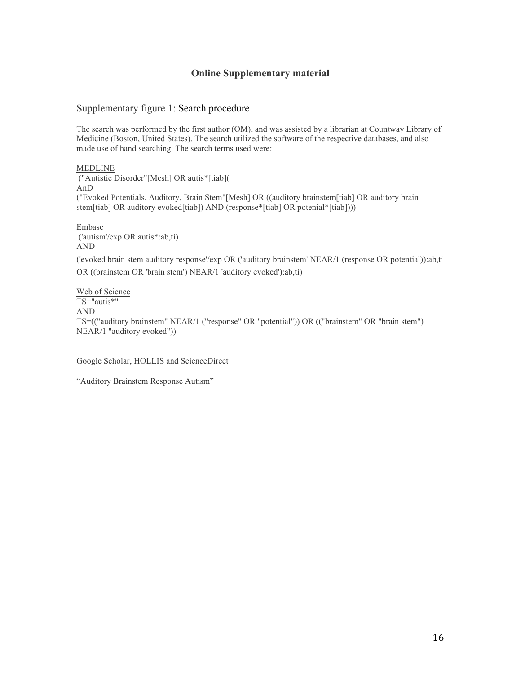## **Online Supplementary material**

#### Supplementary figure 1: Search procedure

The search was performed by the first author (OM), and was assisted by a librarian at Countway Library of Medicine (Boston, United States). The search utilized the software of the respective databases, and also made use of hand searching. The search terms used were:

MEDLINE ("Autistic Disorder"[Mesh] OR autis\*[tiab]( AnD ("Evoked Potentials, Auditory, Brain Stem"[Mesh] OR ((auditory brainstem[tiab] OR auditory brain stem[tiab] OR auditory evoked[tiab]) AND (response\*[tiab] OR potenial\*[tiab])))

Embase ('autism'/exp OR autis\*:ab,ti) AND

('evoked brain stem auditory response'/exp OR ('auditory brainstem' NEAR/1 (response OR potential)):ab,ti OR ((brainstem OR 'brain stem') NEAR/1 'auditory evoked'):ab,ti)

Web of Science TS="autis\*" AND TS=(("auditory brainstem" NEAR/1 ("response" OR "potential")) OR (("brainstem" OR "brain stem") NEAR/1 "auditory evoked"))

#### Google Scholar, HOLLIS and ScienceDirect

"Auditory Brainstem Response Autism"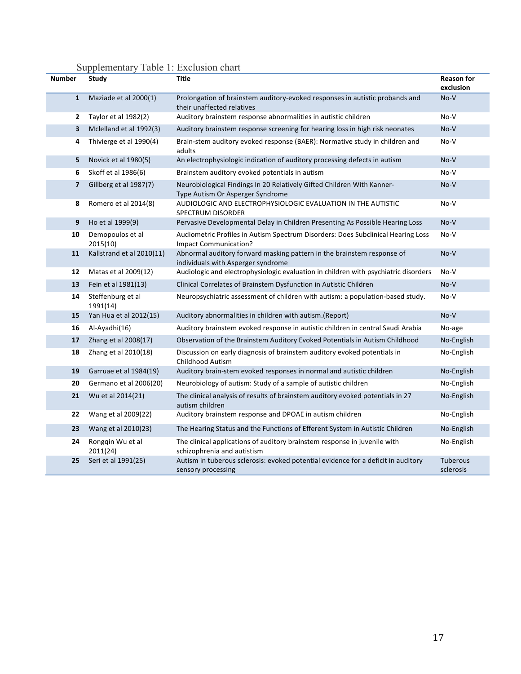# Supplementary Table 1: Exclusion chart

| <b>Number</b>           | Study                         | <b>Title</b>                                                                                                 | <b>Reason for</b><br>exclusion |
|-------------------------|-------------------------------|--------------------------------------------------------------------------------------------------------------|--------------------------------|
| $\mathbf{1}$            | Maziade et al 2000(1)         | Prolongation of brainstem auditory-evoked responses in autistic probands and<br>their unaffected relatives   | No-V                           |
| $\overline{2}$          | Taylor et al 1982(2)          | Auditory brainstem response abnormalities in autistic children                                               | No-V                           |
| 3                       | Mclelland et al 1992(3)       | Auditory brainstem response screening for hearing loss in high risk neonates                                 | No-V                           |
| 4                       | Thivierge et al 1990(4)       | Brain-stem auditory evoked response (BAER): Normative study in children and<br>adults                        | No-V                           |
| 5                       | Novick et al 1980(5)          | An electrophysiologic indication of auditory processing defects in autism                                    | No-V                           |
| 6                       | Skoff et al 1986(6)           | Brainstem auditory evoked potentials in autism                                                               | No-V                           |
| $\overline{\mathbf{z}}$ | Gillberg et al 1987(7)        | Neurobiological Findings In 20 Relatively Gifted Children With Kanner-<br>Type Autism Or Asperger Syndrome   | No-V                           |
| 8                       | Romero et al 2014(8)          | AUDIOLOGIC AND ELECTROPHYSIOLOGIC EVALUATION IN THE AUTISTIC<br>SPECTRUM DISORDER                            | No-V                           |
| 9                       | Ho et al 1999(9)              | Pervasive Developmental Delay in Children Presenting As Possible Hearing Loss                                | No-V                           |
| 10                      | Demopoulos et al<br>2015(10)  | Audiometric Profiles in Autism Spectrum Disorders: Does Subclinical Hearing Loss<br>Impact Communication?    | No-V                           |
| 11                      | Kallstrand et al 2010(11)     | Abnormal auditory forward masking pattern in the brainstem response of<br>individuals with Asperger syndrome | No-V                           |
| 12                      | Matas et al 2009(12)          | Audiologic and electrophysiologic evaluation in children with psychiatric disorders                          | No-V                           |
| 13                      | Fein et al 1981(13)           | Clinical Correlates of Brainstem Dysfunction in Autistic Children                                            | No-V                           |
| 14                      | Steffenburg et al<br>1991(14) | Neuropsychiatric assessment of children with autism: a population-based study.                               | No-V                           |
| 15                      | Yan Hua et al 2012(15)        | Auditory abnormalities in children with autism.(Report)                                                      | $No-V$                         |
| 16                      | Al-Ayadhi(16)                 | Auditory brainstem evoked response in autistic children in central Saudi Arabia                              | No-age                         |
| 17                      | Zhang et al 2008(17)          | Observation of the Brainstem Auditory Evoked Potentials in Autism Childhood                                  | No-English                     |
| 18                      | Zhang et al 2010(18)          | Discussion on early diagnosis of brainstem auditory evoked potentials in<br><b>Childhood Autism</b>          | No-English                     |
| 19                      | Garruae et al 1984(19)        | Auditory brain-stem evoked responses in normal and autistic children                                         | No-English                     |
| 20                      | Germano et al 2006(20)        | Neurobiology of autism: Study of a sample of autistic children                                               | No-English                     |
| 21                      | Wu et al 2014(21)             | The clinical analysis of results of brainstem auditory evoked potentials in 27<br>autism children            | No-English                     |
| 22                      | Wang et al 2009(22)           | Auditory brainstem response and DPOAE in autism children                                                     | No-English                     |
| 23                      | Wang et al 2010(23)           | The Hearing Status and the Functions of Efferent System in Autistic Children                                 | No-English                     |
| 24                      | Rongqin Wu et al<br>2011(24)  | The clinical applications of auditory brainstem response in juvenile with<br>schizophrenia and autistism     | No-English                     |
| 25                      | Seri et al 1991(25)           | Autism in tuberous sclerosis: evoked potential evidence for a deficit in auditory<br>sensory processing      | Tuberous<br>sclerosis          |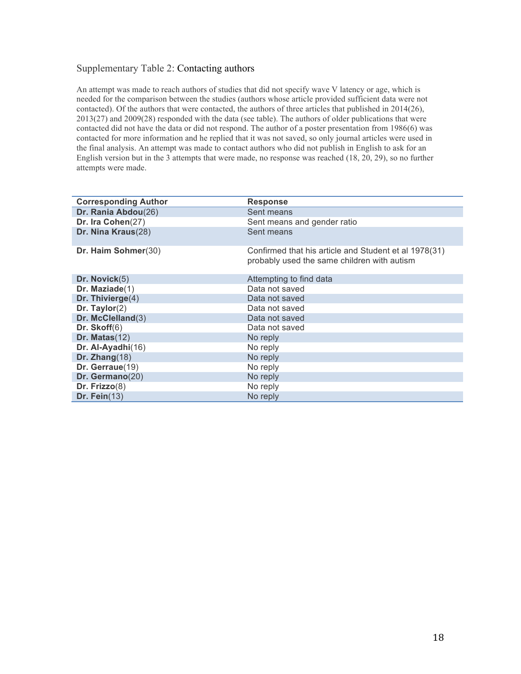## Supplementary Table 2: Contacting authors

An attempt was made to reach authors of studies that did not specify wave V latency or age, which is needed for the comparison between the studies (authors whose article provided sufficient data were not contacted). Of the authors that were contacted, the authors of three articles that published in 2014(26), 2013(27) and 2009(28) responded with the data (see table). The authors of older publications that were contacted did not have the data or did not respond. The author of a poster presentation from 1986(6) was contacted for more information and he replied that it was not saved, so only journal articles were used in the final analysis. An attempt was made to contact authors who did not publish in English to ask for an English version but in the 3 attempts that were made, no response was reached (18, 20, 29), so no further attempts were made.

| <b>Corresponding Author</b> | <b>Response</b>                                                                                      |
|-----------------------------|------------------------------------------------------------------------------------------------------|
| Dr. Rania Abdou(26)         | Sent means                                                                                           |
| Dr. Ira Cohen(27)           | Sent means and gender ratio                                                                          |
| Dr. Nina Kraus(28)          | Sent means                                                                                           |
| Dr. Haim Sohmer(30)         | Confirmed that his article and Student et al 1978(31)<br>probably used the same children with autism |
| Dr. Novick(5)               | Attempting to find data                                                                              |
| Dr. Maziade $(1)$           | Data not saved                                                                                       |
| Dr. Thivierge(4)            | Data not saved                                                                                       |
| Dr. Taylor $(2)$            | Data not saved                                                                                       |
| Dr. McClelland(3)           | Data not saved                                                                                       |
| Dr. $Skoff(6)$              | Data not saved                                                                                       |
| Dr. Matas $(12)$            | No reply                                                                                             |
| Dr. Al-Ayadhi(16)           | No reply                                                                                             |
| Dr. Zhang $(18)$            | No reply                                                                                             |
| Dr. Gerraue(19)             | No reply                                                                                             |
| Dr. Germano(20)             | No reply                                                                                             |
| Dr. $Frizzo(8)$             | No reply                                                                                             |
| Dr. Fein $(13)$             | No reply                                                                                             |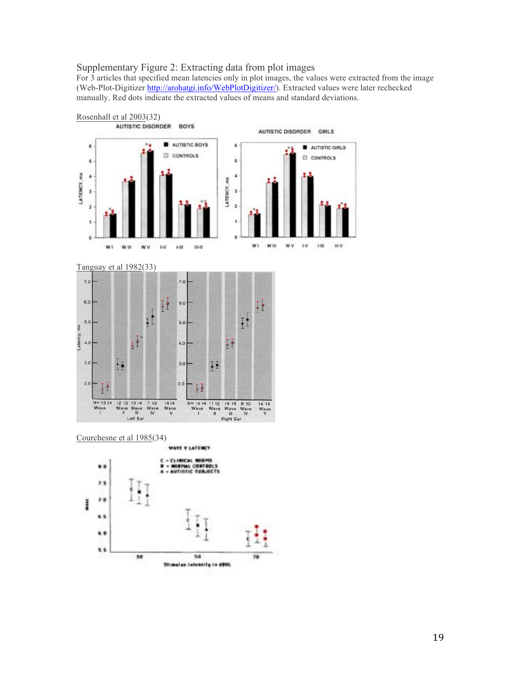#### Supplementary Figure 2: Extracting data from plot images

For 3 articles that specified mean latencies only in plot images, the values were extracted from the image (Web-Plot-Digitizer http://arohatgi.info/WebPlotDigitizer/). Extracted values were later rechecked manually. Red dots indicate the extracted values of means and standard deviations.



Tanguay et al 1982(33)



Courchesne et al 1985(34)

WANT V LATENCY

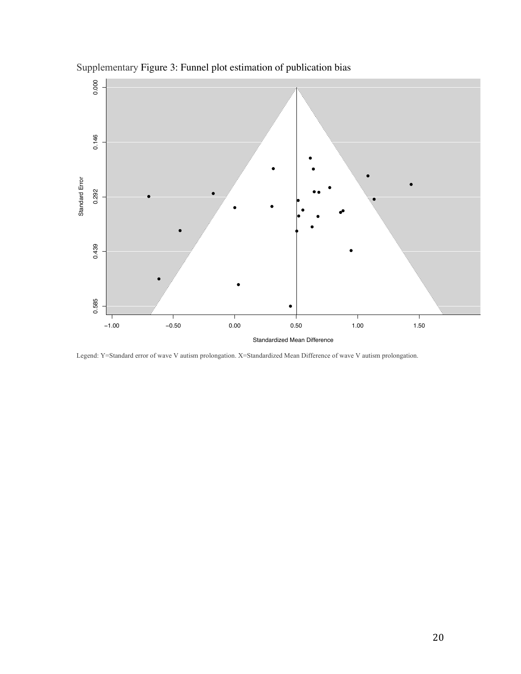

Supplementary Figure 3: Funnel plot estimation of publication bias

Legend: Y=Standard error of wave V autism prolongation. X=Standardized Mean Difference of wave V autism prolongation.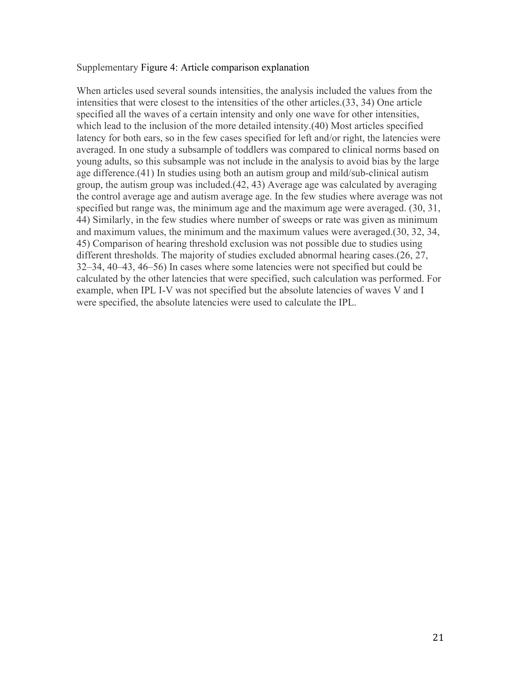#### Supplementary Figure 4: Article comparison explanation

When articles used several sounds intensities, the analysis included the values from the intensities that were closest to the intensities of the other articles.(33, 34) One article specified all the waves of a certain intensity and only one wave for other intensities, which lead to the inclusion of the more detailed intensity.(40) Most articles specified latency for both ears, so in the few cases specified for left and/or right, the latencies were averaged. In one study a subsample of toddlers was compared to clinical norms based on young adults, so this subsample was not include in the analysis to avoid bias by the large age difference.(41) In studies using both an autism group and mild/sub-clinical autism group, the autism group was included.(42, 43) Average age was calculated by averaging the control average age and autism average age. In the few studies where average was not specified but range was, the minimum age and the maximum age were averaged. (30, 31, 44) Similarly, in the few studies where number of sweeps or rate was given as minimum and maximum values, the minimum and the maximum values were averaged.(30, 32, 34, 45) Comparison of hearing threshold exclusion was not possible due to studies using different thresholds. The majority of studies excluded abnormal hearing cases.(26, 27, 32–34, 40–43, 46–56) In cases where some latencies were not specified but could be calculated by the other latencies that were specified, such calculation was performed. For example, when IPL I-V was not specified but the absolute latencies of waves V and I were specified, the absolute latencies were used to calculate the IPL.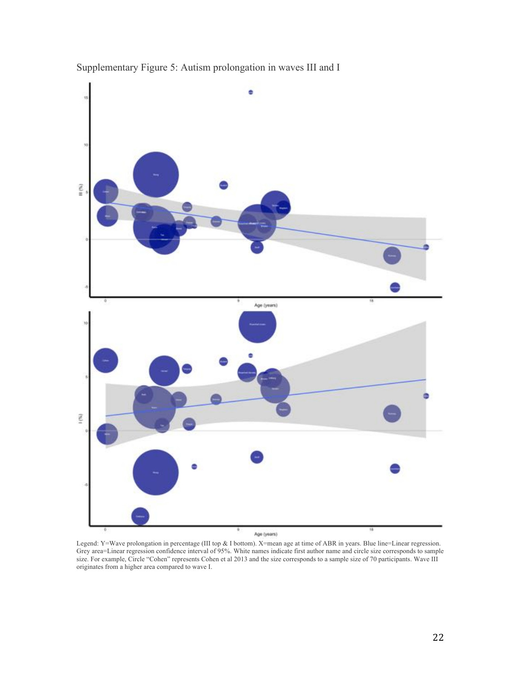



Legend: Y=Wave prolongation in percentage (III top & I bottom). X=mean age at time of ABR in years. Blue line=Linear regression. Grey area=Linear regression confidence interval of 95%. White names indicate first author name and circle size corresponds to sample size. For example, Circle "Cohen" represents Cohen et al 2013 and the size corresponds to a sample size of 70 participants. Wave III originates from a higher area compared to wave I.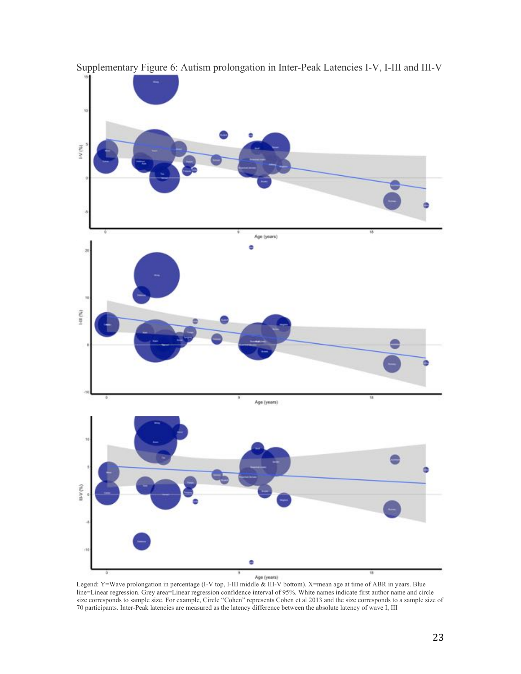

Supplementary Figure 6: Autism prolongation in Inter-Peak Latencies I-V, I-III and III-V

Legend: Y=Wave prolongation in percentage (I-V top, I-III middle & III-V bottom). X=mean age at time of ABR in years. Blue line=Linear regression. Grey area=Linear regression confidence interval of 95%. White names indicate first author name and circle size corresponds to sample size. For example, Circle "Cohen" represents Cohen et al 2013 and the size corresponds to a sample size of 70 participants. Inter-Peak latencies are measured as the latency difference between the absolute latency of wave I, III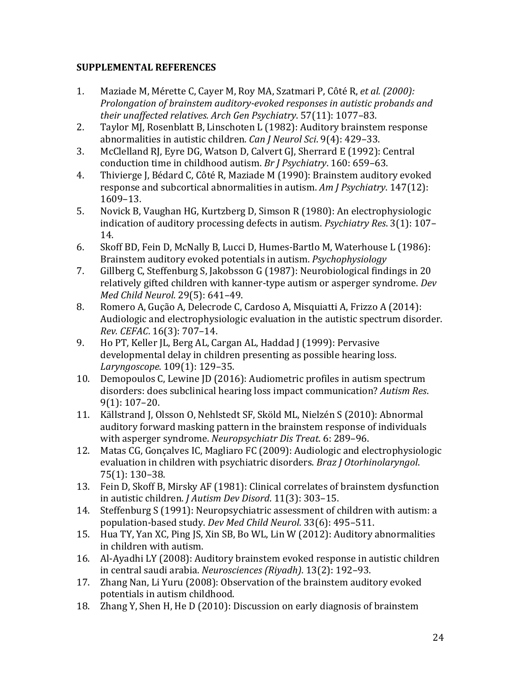## **SUPPLEMENTAL REFERENCES**

- 1. Maziade M, Mérette C, Cayer M, Roy MA, Szatmari P, Côté R, *et al. (2000): Prolongation of brainstem auditory-evoked responses in autistic probands and their unaffected relatives. Arch Gen Psychiatry*. 57(11): 1077–83.
- 2. Taylor MI, Rosenblatt B. Linschoten L (1982): Auditory brainstem response abnormalities in autistic children. *Can J Neurol Sci*. 9(4): 429-33.
- 3. McClelland RJ, Eyre DG, Watson D, Calvert GJ, Sherrard E (1992): Central conduction time in childhood autism. *Br J Psychiatry*. 160: 659–63.
- 4. Thivierge J, Bédard C, Côté R, Maziade M (1990): Brainstem auditory evoked response and subcortical abnormalities in autism. Am *J Psychiatry*. 147(12): 1609–13.
- 5. Novick B, Vaughan HG, Kurtzberg D, Simson R (1980): An electrophysiologic indication of auditory processing defects in autism. *Psychiatry Res.* 3(1): 107– 14.
- 6. Skoff BD, Fein D, McNally B, Lucci D, Humes-Bartlo M, Waterhouse L (1986): Brainstem auditory evoked potentials in autism. *Psychophysiology*
- 7. Gillberg C, Steffenburg S, Jakobsson G (1987): Neurobiological findings in 20 relatively gifted children with kanner-type autism or asperger syndrome. *Dev Med Child Neurol*. 29(5): 641–49.
- 8. Romero A, Gução A, Delecrode C, Cardoso A, Misquiatti A, Frizzo A (2014): Audiologic and electrophysiologic evaluation in the autistic spectrum disorder. *Rev. CEFAC*. 16(3): 707–14.
- 9. Ho PT, Keller JL, Berg AL, Cargan AL, Haddad J (1999): Pervasive developmental delay in children presenting as possible hearing loss. *Laryngoscope*. 109(1): 129–35.
- 10. Demopoulos C, Lewine JD (2016): Audiometric profiles in autism spectrum disorders: does subclinical hearing loss impact communication? Autism Res.  $9(1): 107-20.$
- 11. Källstrand J, Olsson O, Nehlstedt SF, Sköld ML, Nielzén S (2010): Abnormal auditory forward masking pattern in the brainstem response of individuals with asperger syndrome. *Neuropsychiatr Dis Treat.* 6: 289–96.
- 12. Matas CG, Gonçalves IC, Magliaro FC (2009): Audiologic and electrophysiologic evaluation in children with psychiatric disorders. *Braz J Otorhinolaryngol*. 75(1): 130–38.
- 13. Fein D, Skoff B, Mirsky AF (1981): Clinical correlates of brainstem dysfunction in autistic children. *J Autism Dev Disord*. 11(3): 303-15.
- 14. Steffenburg S (1991): Neuropsychiatric assessment of children with autism: a population-based study. *Dev Med Child Neurol*. 33(6): 495-511.
- 15. Hua TY, Yan XC, Ping JS, Xin SB, Bo WL, Lin W (2012): Auditory abnormalities in children with autism.
- 16. Al-Ayadhi LY (2008): Auditory brainstem evoked response in autistic children in central saudi arabia. *Neurosciences (Riyadh)*. 13(2): 192-93.
- 17. Zhang Nan, Li Yuru (2008): Observation of the brainstem auditory evoked potentials in autism childhood.
- 18. Zhang Y, Shen H, He D (2010): Discussion on early diagnosis of brainstem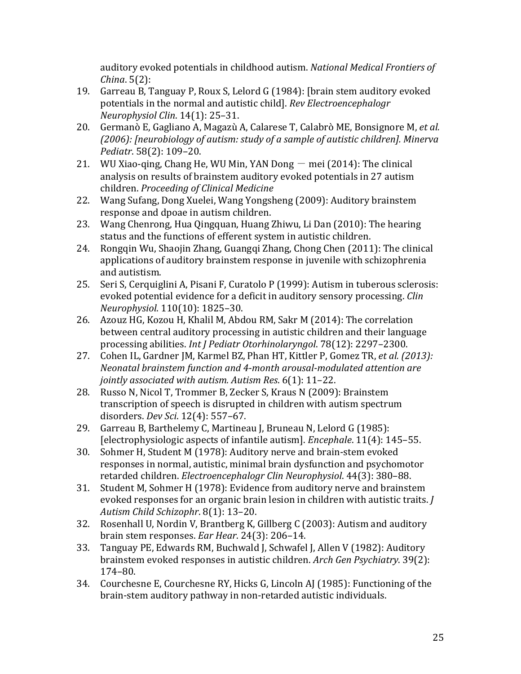auditory evoked potentials in childhood autism. *National Medical Frontiers of China*. 5(2):

- 19. Garreau B, Tanguay P, Roux S, Lelord G (1984): [brain stem auditory evoked potentials in the normal and autistic child]. *Rev Electroencephalogr Neurophysiol Clin*. 14(1): 25–31.
- 20. Germanò E, Gagliano A, Magazù A, Calarese T, Calabrò ME, Bonsignore M, *et al.* (2006): [neurobiology of autism: study of a sample of autistic children]. Minerva *Pediatr*. 58(2): 109–20.
- 21. WU Xiao-qing, Chang He, WU Min, YAN Dong  $-$  mei (2014): The clinical analysis on results of brainstem auditory evoked potentials in 27 autism children. *Proceeding of Clinical Medicine*
- 22. Wang Sufang, Dong Xuelei, Wang Yongsheng (2009): Auditory brainstem response and dpoae in autism children.
- 23. Wang Chenrong, Hua Qingquan, Huang Zhiwu, Li Dan (2010): The hearing status and the functions of efferent system in autistic children.
- 24. Rongqin Wu, Shaojin Zhang, Guangqi Zhang, Chong Chen (2011): The clinical applications of auditory brainstem response in juvenile with schizophrenia and autistism.
- 25. Seri S, Cerquiglini A, Pisani F, Curatolo P (1999): Autism in tuberous sclerosis: evoked potential evidence for a deficit in auditory sensory processing. *Clin Neurophysiol*. 110(10): 1825–30.
- 26. Azouz HG, Kozou H, Khalil M, Abdou RM, Sakr M (2014): The correlation between central auditory processing in autistic children and their language processing abilities. *Int J Pediatr Otorhinolaryngol.* 78(12): 2297-2300.
- 27. Cohen IL, Gardner JM, Karmel BZ, Phan HT, Kittler P, Gomez TR, *et al. (2013): Neonatal brainstem function and 4-month arousal-modulated attention are jointly associated with autism. Autism Res*. 6(1): 11–22.
- 28. Russo N, Nicol T, Trommer B, Zecker S, Kraus N (2009): Brainstem transcription of speech is disrupted in children with autism spectrum disorders. *Dev Sci*. 12(4): 557–67.
- 29. Garreau B, Barthelemy C, Martineau J, Bruneau N, Lelord G (1985): [electrophysiologic aspects of infantile autism]. *Encephale*. 11(4): 145–55.
- 30. Sohmer H, Student M (1978): Auditory nerve and brain-stem evoked responses in normal, autistic, minimal brain dysfunction and psychomotor retarded children. *Electroencephalogr Clin Neurophysiol*. 44(3): 380-88.
- 31. Student M, Sohmer H (1978): Evidence from auditory nerve and brainstem evoked responses for an organic brain lesion in children with autistic traits. *J Autism Child Schizophr*. 8(1): 13–20.
- 32. Rosenhall U, Nordin V, Brantberg K, Gillberg C (2003): Autism and auditory brain stem responses. *Ear Hear*. 24(3): 206-14.
- 33. Tanguay PE, Edwards RM, Buchwald J, Schwafel J, Allen V (1982): Auditory brainstem evoked responses in autistic children. *Arch Gen Psychiatry*. 39(2): 174–80.
- 34. Courchesne E, Courchesne RY, Hicks G, Lincoln AJ (1985): Functioning of the brain-stem auditory pathway in non-retarded autistic individuals.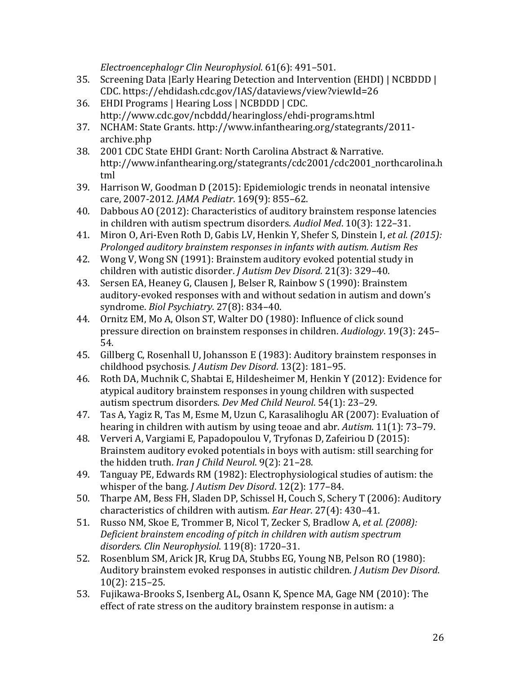*Electroencephalogr Clin Neurophysiol*. 61(6): 491–501.

- 35. Screening Data | Early Hearing Detection and Intervention (EHDI) | NCBDDD | CDC. https://ehdidash.cdc.gov/IAS/dataviews/view?viewId=26
- 36. EHDI Programs | Hearing Loss | NCBDDD | CDC. http://www.cdc.gov/ncbddd/hearingloss/ehdi-programs.html
- 37. NCHAM: State Grants. http://www.infanthearing.org/stategrants/2011 archive.php
- 38. 2001 CDC State EHDI Grant: North Carolina Abstract & Narrative. http://www.infanthearing.org/stategrants/cdc2001/cdc2001\_northcarolina.h tml
- 39. Harrison W, Goodman D (2015): Epidemiologic trends in neonatal intensive care, 2007-2012. *JAMA Pediatr*. 169(9): 855–62.
- 40. Dabbous AO (2012): Characteristics of auditory brainstem response latencies in children with autism spectrum disorders. *Audiol Med*. 10(3): 122-31.
- 41. Miron O, Ari-Even Roth D, Gabis LV, Henkin Y, Shefer S, Dinstein I, *et al. (2015): Prolonged auditory brainstem responses in infants with autism. Autism Res*
- 42. Wong V, Wong SN (1991): Brainstem auditory evoked potential study in children with autistic disorder. *J Autism Dev Disord*. 21(3): 329–40.
- 43. Sersen EA, Heaney G, Clausen J, Belser R, Rainbow S (1990): Brainstem auditory-evoked responses with and without sedation in autism and down's syndrome. *Biol Psychiatry*. 27(8): 834–40.
- 44. Ornitz EM, Mo A, Olson ST, Walter DO (1980): Influence of click sound pressure direction on brainstem responses in children. *Audiology*. 19(3): 245– 54.
- 45. Gillberg C, Rosenhall U, Johansson E (1983): Auditory brainstem responses in childhood psychosis. *J Autism Dev Disord*. 13(2): 181-95.
- 46. Roth DA, Muchnik C, Shabtai E, Hildesheimer M, Henkin Y (2012): Evidence for atypical auditory brainstem responses in young children with suspected autism spectrum disorders. *Dev Med Child Neurol*. 54(1): 23-29.
- 47. Tas A, Yagiz R, Tas M, Esme M, Uzun C, Karasalihoglu AR (2007): Evaluation of hearing in children with autism by using teoae and abr. *Autism*. 11(1): 73–79.
- 48. Ververi A, Vargiami E, Papadopoulou V, Tryfonas D, Zafeiriou D (2015): Brainstem auditory evoked potentials in boys with autism: still searching for the hidden truth. *Iran J Child Neurol*. 9(2): 21-28.
- 49. Tanguay PE, Edwards RM (1982): Electrophysiological studies of autism: the whisper of the bang. *J Autism Dev Disord*. 12(2): 177–84.
- 50. Tharpe AM, Bess FH, Sladen DP, Schissel H, Couch S, Schery T (2006): Auditory characteristics of children with autism. *Ear Hear*. 27(4): 430-41.
- 51. Russo NM, Skoe E, Trommer B, Nicol T, Zecker S, Bradlow A, *et al. (2008): Deficient brainstem encoding of pitch in children with autism spectrum disorders. Clin Neurophysiol*. 119(8): 1720–31.
- 52. Rosenblum SM, Arick JR, Krug DA, Stubbs EG, Young NB, Pelson RO (1980): Auditory brainstem evoked responses in autistic children. *J Autism Dev Disord*. 10(2): 215–25.
- 53. Fujikawa-Brooks S, Isenberg AL, Osann K, Spence MA, Gage NM (2010): The effect of rate stress on the auditory brainstem response in autism: a